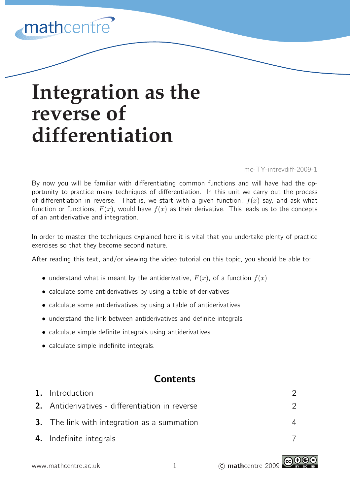# mathcentre

# **Integration as the reverse of differentiation**

mc-TY-intrevdiff-2009-1

By now you will be familiar with differentiating common functions and will have had the opportunity to practice many techniques of differentiation. In this unit we carry out the process of differentiation in reverse. That is, we start with a given function,  $f(x)$  say, and ask what function or functions,  $F(x)$ , would have  $f(x)$  as their derivative. This leads us to the concepts of an antiderivative and integration.

In order to master the techniques explained here it is vital that you undertake plenty of practice exercises so that they become second nature.

After reading this text, and/or viewing the video tutorial on this topic, you should be able to:

- understand what is meant by the antiderivative,  $F(x)$ , of a function  $f(x)$
- calculate some antiderivatives by using a table of derivatives
- calculate some antiderivatives by using a table of antiderivatives
- understand the link between antiderivatives and definite integrals
- calculate simple definite integrals using antiderivatives
- calculate simple indefinite integrals.

## **Contents**

| 1. Introduction                                    |  |
|----------------------------------------------------|--|
| 2. Antiderivatives - differentiation in reverse    |  |
| <b>3.</b> The link with integration as a summation |  |
| 4. Indefinite integrals                            |  |

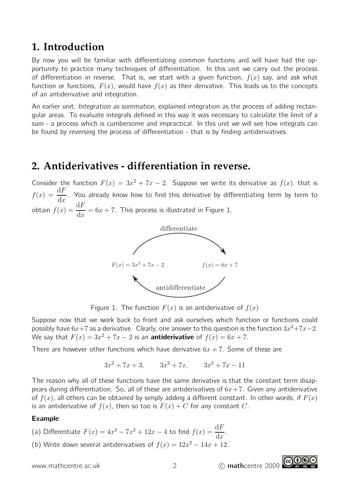## **1. Introduction**

By now you will be familiar with differentiating common functions and will have had the opportunity to practice many techniques of differentiation. In this unit we carry out the process of differentiation in reverse. That is, we start with a given function,  $f(x)$  say, and ask what function or functions,  $F(x)$ , would have  $f(x)$  as their derivative. This leads us to the concepts of an antiderivative and integration.

An earlier unit, *Integration as summation*, explained integration as the process of adding rectangular areas. To evaluate integrals defined in this way it was necessary to calculate the limit of a sum - a process which is cumbersome and impractical. In this unit we will see how integrals can be found by reversing the process of differentiation - that is by finding antiderivatives.

## **2. Antiderivatives - differentiation in reverse.**

Consider the function  $F(x) = 3x^2 + 7x - 2$ . Suppose we write its derivative as  $f(x)$ , that is  $f(x) = \frac{\mathrm{d}F}{\mathrm{d}x}$  $dx$ . You already know how to find this derivative by differentiating term by term to obtain  $f(x) = \frac{\mathrm{d}F}{\mathrm{d}x}$  $dx$  $= 6x + 7$ . This process is illustrated in Figure 1.



Figure 1. The function  $F(x)$  is an antiderivative of  $f(x)$ 

Suppose now that we work back to front and ask ourselves which function or functions could possibly have  $6x+7$  as a derivative. Clearly, one answer to this question is the function  $3x^2+7x-2$ . We say that  $F(x) = 3x^2 + 7x - 2$  is an **antiderivative** of  $f(x) = 6x + 7$ .

There are however other functions which have derivative  $6x + 7$ . Some of these are

$$
3x^2 + 7x + 3
$$
,  $3x^2 + 7x$ ,  $3x^2 + 7x - 11$ 

The reason why all of these functions have the same derivative is that the constant term disappears during differentiation. So, all of these are antiderivatives of  $6x+7$ . Given any antiderivative of  $f(x)$ , all others can be obtained by simply adding a different constant. In other words, if  $F(x)$ is an antiderivative of  $f(x)$ , then so too is  $F(x) + C$  for any constant C.

#### Example

- (a) Differentiate  $F(x) = 4x^3 7x^2 + 12x 4$  to find  $f(x) = \frac{dF}{dx}$  $dx$ .
- (b) Write down several antiderivatives of  $f(x) = 12x^2 14x + 12$ .

www.mathcentre.ac.uk 2 C mathcentre 2009

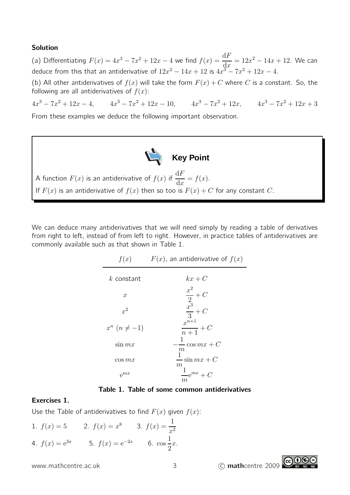#### Solution

(a) Differentiating  $F(x) = 4x^3 - 7x^2 + 12x - 4$  we find  $f(x) = \frac{dF}{dx}$  $dx$  $= 12x^2 - 14x + 12$ . We can deduce from this that an antiderivative of  $12x^2 - 14x + 12$  is  $4x^3 - 7x^2 + 12x - 4$ .

(b) All other antiderivatives of  $f(x)$  will take the form  $F(x) + C$  where C is a constant. So, the following are all antiderivatives of  $f(x)$ :

 $4x^3 - 7x^2 + 12x - 4$ ,  $4x^3 - 7x^2 + 12x - 10$ ,  $4x^3 - 7x^2 + 12x$ ,  $4x^3 - 7x^2 + 12x + 3$ 

From these examples we deduce the following important observation.



A function  $F(x)$  is an antiderivative of  $f(x)$  if  $\frac{\mathrm{d}F}{\mathrm{d}x}$  $dx$  $= f(x).$ If  $F(x)$  is an antiderivative of  $f(x)$  then so too is  $F(x) + C$  for any constant C.

We can deduce many antiderivatives that we will need simply by reading a table of derivatives from right to left, instead of from left to right. However, in practice tables of antiderivatives are commonly available such as that shown in Table 1.

| f(x)                | $F(x)$ , an antiderivative of $f(x)$                              |
|---------------------|-------------------------------------------------------------------|
| $k$ constant        | $kx+C$                                                            |
| $\boldsymbol{x}$    |                                                                   |
| $x^2$               |                                                                   |
| $x^n$ $(n \neq -1)$ | $rac{x^2}{2} + C$<br>$rac{x^3}{3} + C$<br>$rac{x^{n+1}}{n+1} + C$ |
| $\sin mx$           | $-\cos mx + C$<br>m                                               |
| $\cos mx$           | $-\sin mx + C$<br>$\,m$                                           |
| $e^{mx}$            | $\frac{1}{2}e^{mx} + C$<br>$\,m$                                  |

#### Table 1. Table of some common antiderivatives

#### Exercises 1.

Use the Table of antiderivatives to find  $F(x)$  given  $f(x)$ :

1. 
$$
f(x) = 5
$$
  
\n2.  $f(x) = x^8$   
\n3.  $f(x) = \frac{1}{x^2}$   
\n4.  $f(x) = e^{3x}$   
\n5.  $f(x) = e^{-2x}$   
\n6.  $\cos \frac{1}{2}x$ .

www.mathcentre.ac.uk 3 c mathcentre 2009

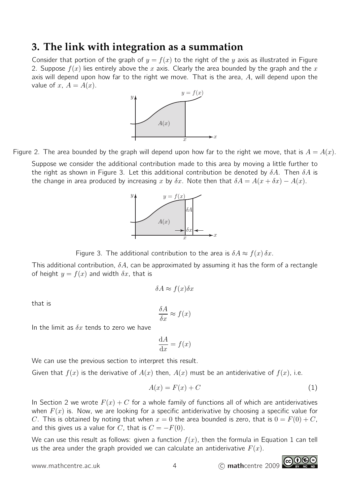## **3. The link with integration as a summation**

Consider that portion of the graph of  $y = f(x)$  to the right of the y axis as illustrated in Figure 2. Suppose  $f(x)$  lies entirely above the x axis. Clearly the area bounded by the graph and the x axis will depend upon how far to the right we move. That is the area,  $A$ , will depend upon the value of x,  $A = A(x)$ .



Figure 2. The area bounded by the graph will depend upon how far to the right we move, that is  $A = A(x)$ . Suppose we consider the additional contribution made to this area by moving a little further to the right as shown in Figure 3. Let this additional contribution be denoted by  $\delta A$ . Then  $\delta A$  is the change in area produced by increasing x by  $\delta x$ . Note then that  $\delta A = A(x + \delta x) - A(x)$ .



Figure 3. The additional contribution to the area is  $\delta A \approx f(x) \, \delta x$ .

This additional contribution,  $\delta A$ , can be approximated by assuming it has the form of a rectangle of height  $y = f(x)$  and width  $\delta x$ , that is

$$
\delta A \approx f(x)\delta x
$$

that is

$$
\frac{\delta A}{\delta x} \approx f(x)
$$

In the limit as  $\delta x$  tends to zero we have

$$
\frac{\mathrm{d}A}{\mathrm{d}x} = f(x)
$$

We can use the previous section to interpret this result.

Given that  $f(x)$  is the derivative of  $A(x)$  then,  $A(x)$  must be an antiderivative of  $f(x)$ , i.e.

$$
A(x) = F(x) + C \tag{1}
$$

In Section 2 we wrote  $F(x) + C$  for a whole family of functions all of which are antiderivatives when  $F(x)$  is. Now, we are looking for a specific antiderivative by choosing a specific value for C. This is obtained by noting that when  $x = 0$  the area bounded is zero, that is  $0 = F(0) + C$ , and this gives us a value for C, that is  $C = -F(0)$ .

We can use this result as follows: given a function  $f(x)$ , then the formula in Equation 1 can tell us the area under the graph provided we can calculate an antiderivative  $F(x)$ .

www.mathcentre.ac.uk 4 C mathcentre 2009

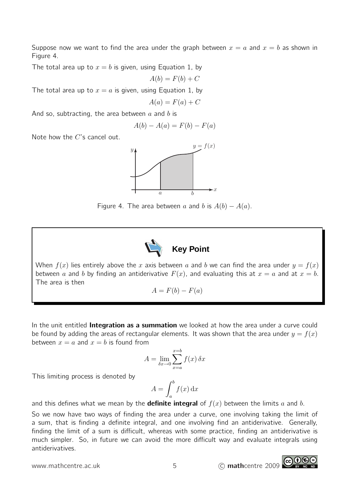Suppose now we want to find the area under the graph between  $x = a$  and  $x = b$  as shown in Figure 4.

The total area up to  $x = b$  is given, using Equation 1, by

$$
A(b) = F(b) + C
$$

The total area up to  $x = a$  is given, using Equation 1, by

$$
A(a) = F(a) + C
$$

And so, subtracting, the area between  $a$  and  $b$  is

$$
A(b) - A(a) = F(b) - F(a)
$$

Note how the C's cancel out.



Figure 4. The area between a and b is  $A(b) - A(a)$ .



When  $f(x)$  lies entirely above the x axis between a and b we can find the area under  $y = f(x)$ between a and b by finding an antiderivative  $F(x)$ , and evaluating this at  $x = a$  and at  $x = b$ . The area is then

$$
A = F(b) - F(a)
$$

In the unit entitled **Integration as a summation** we looked at how the area under a curve could be found by adding the areas of rectangular elements. It was shown that the area under  $y = f(x)$ between  $x = a$  and  $x = b$  is found from

$$
A = \lim_{\delta x \to 0} \sum_{x=a}^{x=b} f(x) \, \delta x
$$

This limiting process is denoted by

$$
A = \int_{a}^{b} f(x) \, \mathrm{d}x
$$

and this defines what we mean by the **definite integral** of  $f(x)$  between the limits a and b.

So we now have two ways of finding the area under a curve, one involving taking the limit of a sum, that is finding a definite integral, and one involving find an antiderivative. Generally, finding the limit of a sum is difficult, whereas with some practice, finding an antiderivative is much simpler. So, in future we can avoid the more difficult way and evaluate integrals using antiderivatives.

www.mathcentre.ac.uk 5 c mathcentre 2009

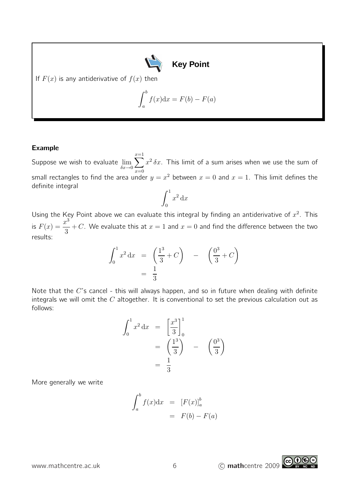

If  $F(x)$  is any antiderivative of  $f(x)$  then

$$
\int_{a}^{b} f(x) \mathrm{d}x = F(b) - F(a)
$$

#### Example

Suppose we wish to evaluate  $\lim\limits_{\delta x \to 0}$  $\sum_{ }^{x=1}$  $x=0$  $x^2 \, \delta x$ . This limit of a sum arises when we use the sum of small rectangles to find the area under  $y=x^2$  between  $x=0$  and  $x=1$ . This limit defines the definite integral

$$
\int_0^1 x^2 \, \mathrm{d}x
$$

Using the Key Point above we can evaluate this integral by finding an antiderivative of  $x^2$ . This is  $F(x) = \frac{x^3}{2}$ 3  $+C$ . We evaluate this at  $x=1$  and  $x=0$  and find the difference between the two results:

$$
\int_0^1 x^2 dx = \left(\frac{1^3}{3} + C\right) - \left(\frac{0^3}{3} + C\right) = \frac{1}{3}
$$

Note that the  $C$ 's cancel - this will always happen, and so in future when dealing with definite integrals we will omit the  $C$  altogether. It is conventional to set the previous calculation out as follows:

$$
\int_0^1 x^2 dx = \left[\frac{x^3}{3}\right]_0^1
$$
  
=  $\left(\frac{1^3}{3}\right)$  -  $\left(\frac{0^3}{3}\right)$   
=  $\frac{1}{3}$ 

More generally we write

$$
\int_{a}^{b} f(x) dx = [F(x)]_{a}^{b}
$$

$$
= F(b) - F(a)
$$

www.mathcentre.ac.uk 6 c mathcentre 2009

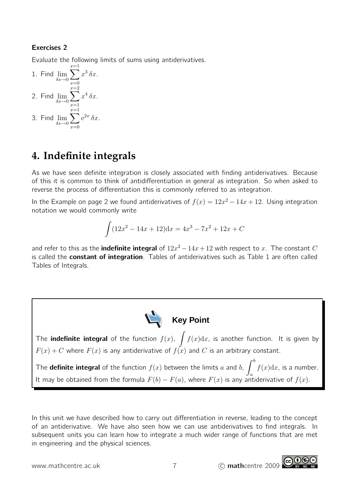## Exercises 2

Evaluate the following limits of sums using antiderivatives.

1. Find 
$$
\lim_{\delta x \to 0} \sum_{x=0}^{x=1} x^3 \delta x
$$
.  
\n2. Find  $\lim_{\delta x \to 0} \sum_{x=1}^{x=2} x^4 \delta x$ .  
\n3. Find  $\lim_{\delta x \to 0} \sum_{x=0}^{x=1} e^{2x} \delta x$ .

# **4. Indefinite integrals**

As we have seen definite integration is closely associated with finding antiderivatives. Because of this it is common to think of antidifferentiation in general as integration. So when asked to reverse the process of differentiation this is commonly referred to as integration.

In the Example on page 2 we found antiderivatives of  $f(x) = 12x^2 - 14x + 12$ . Using integration notation we would commonly write

$$
\int (12x^2 - 14x + 12) dx = 4x^3 - 7x^2 + 12x + C
$$

and refer to this as the **indefinite integral** of  $12x^2 - 14x + 12$  with respect to x. The constant  $C$ is called the **constant of integration**. Tables of antiderivatives such as Table 1 are often called Tables of Integrals.



The **indefinite integral** of the function  $f(x)$ ,  $\int f(x)dx$ , is another function. It is given by  $F(x) + C$  where  $F(x)$  is any antiderivative of  $f(x)$  and  $C$  is an arbitrary constant.

The **definite integral** of the function  $f(x)$  between the limits a and b,  $\int^b f(x) dx$ , is a number. It may be obtained from the formula  $F(b) - F(a)$ , where  $F(x)$  is any antiderivative of  $f(x)$ .

In this unit we have described how to carry out differentiation in reverse, leading to the concept of an antiderivative. We have also seen how we can use antiderivatives to find integrals. In subsequent units you can learn how to integrate a much wider range of functions that are met in engineering and the physical sciences.

www.mathcentre.ac.uk 7 c mathcentre 2009